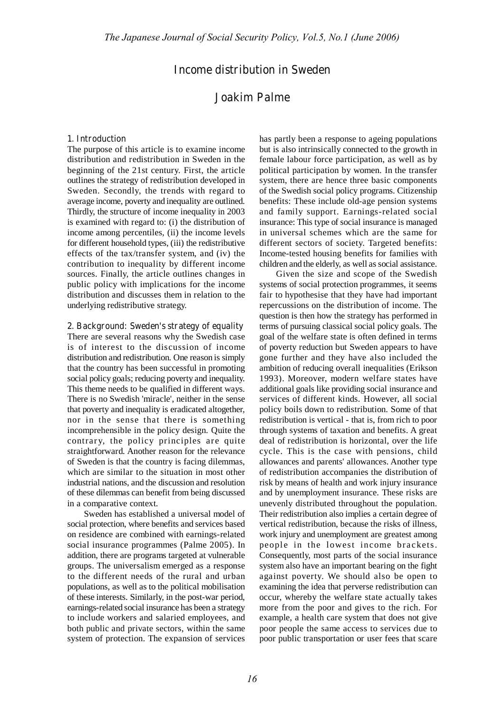## **Income distribution in Sweden**

# **Joakim Palme**

#### **1. Introduction**

The purpose of this article is to examine income distribution and redistribution in Sweden in the beginning of the 21st century. First, the article outlines the strategy of redistribution developed in Sweden. Secondly, the trends with regard to average income, poverty and inequality are outlined. Thirdly, the structure of income inequality in 2003 is examined with regard to: (i) the distribution of income among percentiles, (ii) the income levels for different household types, (iii) the redistributive effects of the tax/transfer system, and (iv) the contribution to inequality by different income sources. Finally, the article outlines changes in public policy with implications for the income distribution and discusses them in relation to the underlying redistributive strategy.

#### **2. Background: Sweden's strategy of equality**

There are several reasons why the Swedish case is of interest to the discussion of income distribution and redistribution. One reason is simply that the country has been successful in promoting social policy goals; reducing poverty and inequality. This theme needs to be qualified in different ways. There is no Swedish 'miracle', neither in the sense that poverty and inequality is eradicated altogether, nor in the sense that there is something incomprehensible in the policy design. Quite the contrary, the policy principles are quite straightforward. Another reason for the relevance of Sweden is that the country is facing dilemmas, which are similar to the situation in most other industrial nations, and the discussion and resolution of these dilemmas can benefit from being discussed in a comparative context.

Sweden has established a universal model of social protection, where benefits and services based on residence are combined with earnings-related social insurance programmes (Palme 2005). In addition, there are programs targeted at vulnerable groups. The universalism emerged as a response to the different needs of the rural and urban populations, as well as to the political mobilisation of these interests. Similarly, in the post-war period, earnings-related social insurance has been a strategy to include workers and salaried employees, and both public and private sectors, within the same system of protection. The expansion of services

has partly been a response to ageing populations but is also intrinsically connected to the growth in female labour force participation, as well as by political participation by women. In the transfer system, there are hence three basic components of the Swedish social policy programs. Citizenship benefits: These include old-age pension systems and family support. Earnings-related social insurance: This type of social insurance is managed in universal schemes which are the same for different sectors of society. Targeted benefits: Income-tested housing benefits for families with children and the elderly, as well as social assistance.

Given the size and scope of the Swedish systems of social protection programmes, it seems fair to hypothesise that they have had important repercussions on the distribution of income. The question is then how the strategy has performed in terms of pursuing classical social policy goals. The goal of the welfare state is often defined in terms of poverty reduction but Sweden appears to have gone further and they have also included the ambition of reducing overall inequalities (Erikson 1993). Moreover, modern welfare states have additional goals like providing social insurance and services of different kinds. However, all social policy boils down to redistribution. Some of that redistribution is vertical - that is, from rich to poor through systems of taxation and benefits. A great deal of redistribution is horizontal, over the life cycle. This is the case with pensions, child allowances and parents' allowances. Another type of redistribution accompanies the distribution of risk by means of health and work injury insurance and by unemployment insurance. These risks are unevenly distributed throughout the population. Their redistribution also implies a certain degree of vertical redistribution, because the risks of illness, work injury and unemployment are greatest among people in the lowest income brackets. Consequently, most parts of the social insurance system also have an important bearing on the fight against poverty. We should also be open to examining the idea that perverse redistribution can occur, whereby the welfare state actually takes more from the poor and gives to the rich. For example, a health care system that does not give poor people the same access to services due to poor public transportation or user fees that scare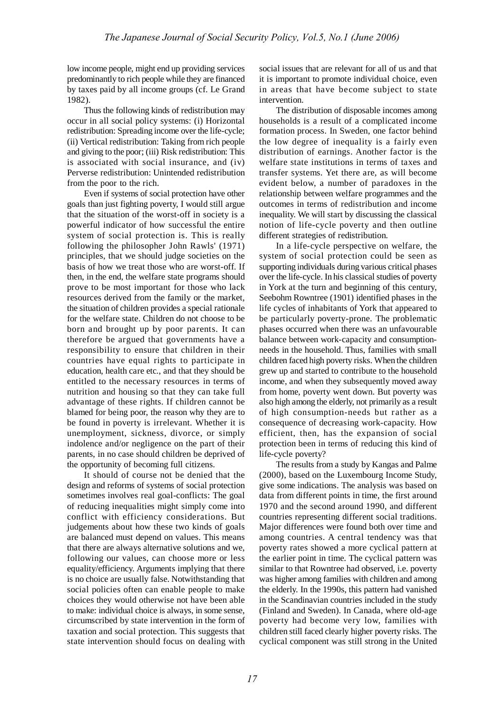low income people, might end up providing services predominantly to rich people while they are financed by taxes paid by all income groups (cf. Le Grand 1982).

Thus the following kinds of redistribution may occur in all social policy systems: (i) Horizontal redistribution: Spreading income over the life-cycle; (ii) Vertical redistribution: Taking from rich people and giving to the poor; (iii) Risk redistribution: This is associated with social insurance, and (iv) Perverse redistribution: Unintended redistribution from the poor to the rich.

Even if systems of social protection have other goals than just fighting poverty, I would still argue that the situation of the worst-off in society is a powerful indicator of how successful the entire system of social protection is. This is really following the philosopher John Rawls' (1971) principles, that we should judge societies on the basis of how we treat those who are worst-off. If then, in the end, the welfare state programs should prove to be most important for those who lack resources derived from the family or the market, the situation of children provides a special rationale for the welfare state. Children do not choose to be born and brought up by poor parents. It can therefore be argued that governments have a responsibility to ensure that children in their countries have equal rights to participate in education, health care etc., and that they should be entitled to the necessary resources in terms of nutrition and housing so that they can take full advantage of these rights. If children cannot be blamed for being poor, the reason why they are to be found in poverty is irrelevant. Whether it is unemployment, sickness, divorce, or simply indolence and/or negligence on the part of their parents, in no case should children be deprived of the opportunity of becoming full citizens.

It should of course not be denied that the design and reforms of systems of social protection sometimes involves real goal-conflicts: The goal of reducing inequalities might simply come into conflict with efficiency considerations. But judgements about how these two kinds of goals are balanced must depend on values. This means that there are always alternative solutions and we, following our values, can choose more or less equality/efficiency. Arguments implying that there is no choice are usually false. Notwithstanding that social policies often can enable people to make choices they would otherwise not have been able to make: individual choice is always, in some sense, circumscribed by state intervention in the form of taxation and social protection. This suggests that state intervention should focus on dealing with

social issues that are relevant for all of us and that it is important to promote individual choice, even in areas that have become subject to state intervention.

The distribution of disposable incomes among households is a result of a complicated income formation process. In Sweden, one factor behind the low degree of inequality is a fairly even distribution of earnings. Another factor is the welfare state institutions in terms of taxes and transfer systems. Yet there are, as will become evident below, a number of paradoxes in the relationship between welfare programmes and the outcomes in terms of redistribution and income inequality. We will start by discussing the classical notion of life-cycle poverty and then outline different strategies of redistribution.

In a life-cycle perspective on welfare, the system of social protection could be seen as supporting individuals during various critical phases over the life-cycle. In his classical studies of poverty in York at the turn and beginning of this century, Seebohm Rowntree (1901) identified phases in the life cycles of inhabitants of York that appeared to be particularly poverty-prone. The problematic phases occurred when there was an unfavourable balance between work-capacity and consumptionneeds in the household. Thus, families with small children faced high poverty risks. When the children grew up and started to contribute to the household income, and when they subsequently moved away from home, poverty went down. But poverty was also high among the elderly, not primarily as a result of high consumption-needs but rather as a consequence of decreasing work-capacity. How efficient, then, has the expansion of social protection been in terms of reducing this kind of life-cycle poverty?

The results from a study by Kangas and Palme (2000), based on the Luxembourg Income Study, give some indications. The analysis was based on data from different points in time, the first around 1970 and the second around 1990, and different countries representing different social traditions. Major differences were found both over time and among countries. A central tendency was that poverty rates showed a more cyclical pattern at the earlier point in time. The cyclical pattern was similar to that Rowntree had observed, i.e. poverty was higher among families with children and among the elderly. In the 1990s, this pattern had vanished in the Scandinavian countries included in the study (Finland and Sweden). In Canada, where old-age poverty had become very low, families with children still faced clearly higher poverty risks. The cyclical component was still strong in the United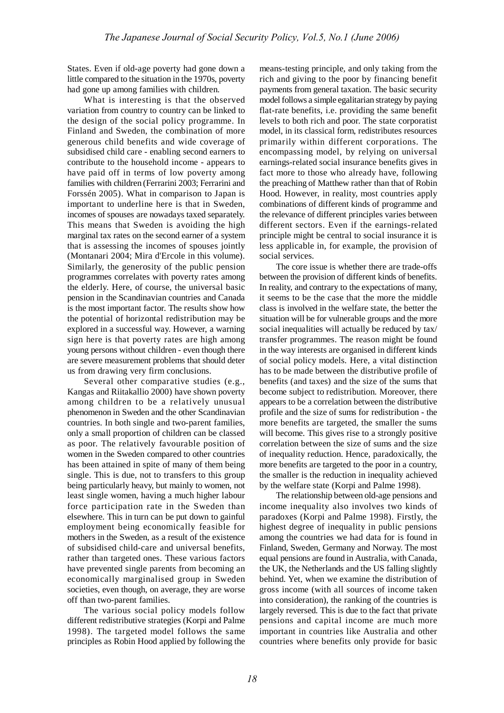States. Even if old-age poverty had gone down a little compared to the situation in the 1970s, poverty had gone up among families with children.

What is interesting is that the observed variation from country to country can be linked to the design of the social policy programme. In Finland and Sweden, the combination of more generous child benefits and wide coverage of subsidised child care - enabling second earners to contribute to the household income - appears to have paid off in terms of low poverty among families with children (Ferrarini 2003; Ferrarini and Forssén 2005). What in comparison to Japan is important to underline here is that in Sweden, incomes of spouses are nowadays taxed separately. This means that Sweden is avoiding the high marginal tax rates on the second earner of a system that is assessing the incomes of spouses jointly (Montanari 2004; Mira d'Ercole in this volume). Similarly, the generosity of the public pension programmes correlates with poverty rates among the elderly. Here, of course, the universal basic pension in the Scandinavian countries and Canada is the most important factor. The results show how the potential of horizontal redistribution may be explored in a successful way. However, a warning sign here is that poverty rates are high among young persons without children - even though there are severe measurement problems that should deter us from drawing very firm conclusions.

Several other comparative studies (e.g., Kangas and Riitakallio 2000) have shown poverty among children to be a relatively unusual phenomenon in Sweden and the other Scandinavian countries. In both single and two-parent families, only a small proportion of children can be classed as poor. The relatively favourable position of women in the Sweden compared to other countries has been attained in spite of many of them being single. This is due, not to transfers to this group being particularly heavy, but mainly to women, not least single women, having a much higher labour force participation rate in the Sweden than elsewhere. This in turn can be put down to gainful employment being economically feasible for mothers in the Sweden, as a result of the existence of subsidised child-care and universal benefits, rather than targeted ones. These various factors have prevented single parents from becoming an economically marginalised group in Sweden societies, even though, on average, they are worse off than two-parent families.

The various social policy models follow different redistributive strategies (Korpi and Palme 1998). The targeted model follows the same principles as Robin Hood applied by following the means-testing principle, and only taking from the rich and giving to the poor by financing benefit payments from general taxation. The basic security model follows a simple egalitarian strategy by paying flat-rate benefits, i.e. providing the same benefit levels to both rich and poor. The state corporatist model, in its classical form, redistributes resources primarily within different corporations. The encompassing model, by relying on universal earnings-related social insurance benefits gives in fact more to those who already have, following the preaching of Matthew rather than that of Robin Hood. However, in reality, most countries apply combinations of different kinds of programme and the relevance of different principles varies between different sectors. Even if the earnings-related principle might be central to social insurance it is less applicable in, for example, the provision of social services.

The core issue is whether there are trade-offs between the provision of different kinds of benefits. In reality, and contrary to the expectations of many, it seems to be the case that the more the middle class is involved in the welfare state, the better the situation will be for vulnerable groups and the more social inequalities will actually be reduced by tax/ transfer programmes. The reason might be found in the way interests are organised in different kinds of social policy models. Here, a vital distinction has to be made between the distributive profile of benefits (and taxes) and the size of the sums that become subject to redistribution. Moreover, there appears to be a correlation between the distributive profile and the size of sums for redistribution - the more benefits are targeted, the smaller the sums will become. This gives rise to a strongly positive correlation between the size of sums and the size of inequality reduction. Hence, paradoxically, the more benefits are targeted to the poor in a country, the smaller is the reduction in inequality achieved by the welfare state (Korpi and Palme 1998).

The relationship between old-age pensions and income inequality also involves two kinds of paradoxes (Korpi and Palme 1998). Firstly, the highest degree of inequality in public pensions among the countries we had data for is found in Finland, Sweden, Germany and Norway. The most equal pensions are found in Australia, with Canada, the UK, the Netherlands and the US falling slightly behind. Yet, when we examine the distribution of gross income (with all sources of income taken into consideration), the ranking of the countries is largely reversed. This is due to the fact that private pensions and capital income are much more important in countries like Australia and other countries where benefits only provide for basic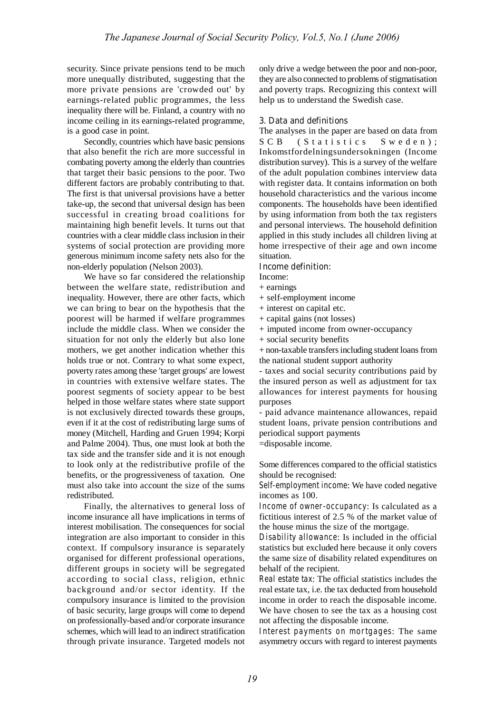security. Since private pensions tend to be much more unequally distributed, suggesting that the more private pensions are 'crowded out' by earnings-related public programmes, the less inequality there will be. Finland, a country with no income ceiling in its earnings-related programme, is a good case in point.

Secondly, countries which have basic pensions that also benefit the rich are more successful in combating poverty among the elderly than countries that target their basic pensions to the poor. Two different factors are probably contributing to that. The first is that universal provisions have a better take-up, the second that universal design has been successful in creating broad coalitions for maintaining high benefit levels. It turns out that countries with a clear middle class inclusion in their systems of social protection are providing more generous minimum income safety nets also for the non-elderly population (Nelson 2003).

We have so far considered the relationship between the welfare state, redistribution and inequality. However, there are other facts, which we can bring to bear on the hypothesis that the poorest will be harmed if welfare programmes include the middle class. When we consider the situation for not only the elderly but also lone mothers, we get another indication whether this holds true or not. Contrary to what some expect, poverty rates among these 'target groups' are lowest in countries with extensive welfare states. The poorest segments of society appear to be best helped in those welfare states where state support is not exclusively directed towards these groups, even if it at the cost of redistributing large sums of money (Mitchell, Harding and Gruen 1994; Korpi and Palme 2004). Thus, one must look at both the tax side and the transfer side and it is not enough to look only at the redistributive profile of the benefits, or the progressiveness of taxation. One must also take into account the size of the sums redistributed.

Finally, the alternatives to general loss of income insurance all have implications in terms of interest mobilisation. The consequences for social integration are also important to consider in this context. If compulsory insurance is separately organised for different professional operations, different groups in society will be segregated according to social class, religion, ethnic background and/or sector identity. If the compulsory insurance is limited to the provision of basic security, large groups will come to depend on professionally-based and/or corporate insurance schemes, which will lead to an indirect stratification through private insurance. Targeted models not

only drive a wedge between the poor and non-poor, they are also connected to problems of stigmatisation and poverty traps. Recognizing this context will help us to understand the Swedish case.

#### **3. Data and definitions**

The analyses in the paper are based on data from S C B ( S t a t i s t i c s S w e d e n ); Inkomstfordelningsundersokningen (Income distribution survey). This is a survey of the welfare of the adult population combines interview data with register data. It contains information on both household characteristics and the various income components. The households have been identified by using information from both the tax registers and personal interviews. The household definition applied in this study includes all children living at home irrespective of their age and own income situation.

#### **Income definition:**

- Income:
- + earnings
- + self-employment income
- + interest on capital etc.
- + capital gains (not losses)
- + imputed income from owner-occupancy
- + social security benefits

+ non-taxable transfersincluding student loans from the national student support authority

- taxes and social security contributions paid by the insured person as well as adjustment for tax allowances for interest payments for housing purposes

- paid advance maintenance allowances, repaid student loans, private pension contributions and periodical support payments

=disposable income.

Some differences compared to the official statistics should be recognised:

*Self-employment income*: We have coded negative incomes as 100.

*Income of owner-occupancy*: Is calculated as a fictitious interest of 2.5 % of the market value of the house minus the size of the mortgage.

*Disability allowance*: Is included in the official statistics but excluded here because it only covers the same size of disability related expenditures on behalf of the recipient.

*Real estate tax*: The official statistics includes the real estate tax, i.e. the tax deducted from household income in order to reach the disposable income. We have chosen to see the tax as a housing cost not affecting the disposable income.

*Interest payments on mortgages*: The same asymmetry occurs with regard to interest payments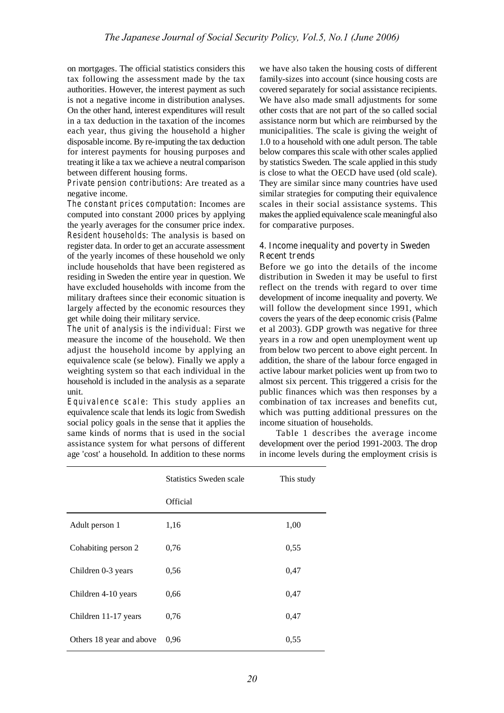on mortgages. The official statistics considers this tax following the assessment made by the tax authorities. However, the interest payment as such is not a negative income in distribution analyses. On the other hand, interest expenditures will result in a tax deduction in the taxation of the incomes each year, thus giving the household a higher disposable income. By re-imputing the tax deduction for interest payments for housing purposes and treating it like a tax we achieve a neutral comparison between different housing forms.

*Private pension contributions*: Are treated as a negative income.

*The constant prices computation*: Incomes are computed into constant 2000 prices by applying the yearly averages for the consumer price index. *Resident households*: The analysis is based on register data. In order to get an accurate assessment of the yearly incomes of these household we only include households that have been registered as residing in Sweden the entire year in question. We have excluded households with income from the military draftees since their economic situation is largely affected by the economic resources they get while doing their military service.

*The unit of analysis is the individual*: First we measure the income of the household. We then adjust the household income by applying an equivalence scale (se below). Finally we apply a weighting system so that each individual in the household is included in the analysis as a separate unit.

*Equivalence scale*: This study applies an equivalence scale that lends its logic from Swedish social policy goals in the sense that it applies the same kinds of norms that is used in the social assistance system for what persons of different age 'cost' a household. In addition to these norms

we have also taken the housing costs of different family-sizes into account (since housing costs are covered separately for social assistance recipients. We have also made small adjustments for some other costs that are not part of the so called social assistance norm but which are reimbursed by the municipalities. The scale is giving the weight of 1.0 to a household with one adult person. The table below compares this scale with other scales applied by statistics Sweden. The scale applied in this study is close to what the OECD have used (old scale). They are similar since many countries have used similar strategies for computing their equivalence scales in their social assistance systems. This makes the applied equivalence scale meaningful also for comparative purposes.

## **4. Income inequality and poverty in Sweden Recent trends**

Before we go into the details of the income distribution in Sweden it may be useful to first reflect on the trends with regard to over time development of income inequality and poverty. We will follow the development since 1991, which covers the years of the deep economic crisis (Palme et al 2003). GDP growth was negative for three years in a row and open unemployment went up from below two percent to above eight percent. In addition, the share of the labour force engaged in active labour market policies went up from two to almost six percent. This triggered a crisis for the public finances which was then responses by a combination of tax increases and benefits cut, which was putting additional pressures on the income situation of households.

Table 1 describes the average income development over the period 1991-2003. The drop in income levels during the employment crisis is

|                          | Statistics Sweden scale | This study |  |
|--------------------------|-------------------------|------------|--|
|                          | Official                |            |  |
| Adult person 1           | 1,16                    | 1,00       |  |
| Cohabiting person 2      | 0,76                    | 0,55       |  |
| Children 0-3 years       | 0,56                    | 0,47       |  |
| Children 4-10 years      | 0,66                    | 0,47       |  |
| Children 11-17 years     | 0,76                    | 0,47       |  |
| Others 18 year and above | 0.96                    | 0,55       |  |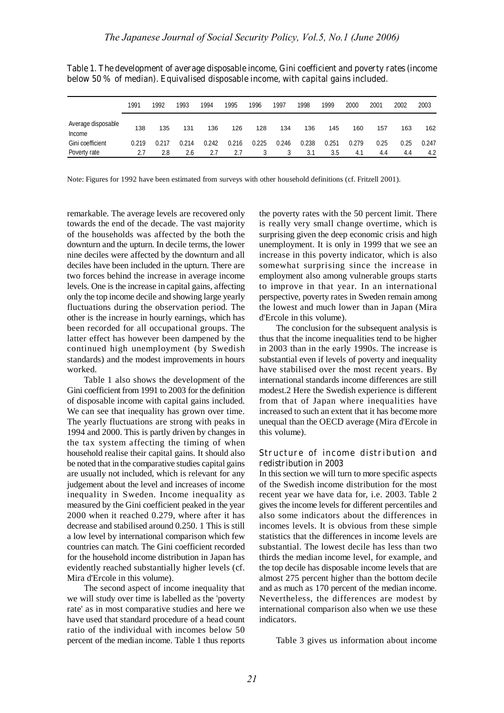|                                     | 1991  | 1992  | 1993  | 1994  | 1995  | 1996  | 1997  | 1998  | 1999  | 2000  | 2001 | 2002 | 2003  |
|-------------------------------------|-------|-------|-------|-------|-------|-------|-------|-------|-------|-------|------|------|-------|
| Average disposable<br><b>Income</b> | 138   | 135   | 131   | 136   | 126   | 128   | 134   | 136   | 145   | 160   | 157  | 163  | 162   |
| Gini coefficient                    | 0.219 | 0.217 | 0.214 | 0.242 | 0.216 | 0.225 | 0.246 | 0.238 | 0.251 | 0.279 | 0.25 | 0.25 | 0.247 |
| Poverty rate                        |       | 2.8   | 2.6   | 2.7   | 2.7   |       |       | 3.1   | 3.5   | 4.1   | 4.4  | 4.4  | 4.2   |

**Table 1. The development of average disposable income, Gini coefficient and poverty rates (income below 50 % of median). Equivalised disposable income, with capital gains included.**

Note: Figures for 1992 have been estimated from surveys with other household definitions (cf. Fritzell 2001).

remarkable. The average levels are recovered only towards the end of the decade. The vast majority of the households was affected by the both the downturn and the upturn. In decile terms, the lower nine deciles were affected by the downturn and all deciles have been included in the upturn. There are two forces behind the increase in average income levels. One is the increase in capital gains, affecting only the top income decile and showing large yearly fluctuations during the observation period. The other is the increase in hourly earnings, which has been recorded for all occupational groups. The latter effect has however been dampened by the continued high unemployment (by Swedish standards) and the modest improvements in hours worked.

Table 1 also shows the development of the Gini coefficient from 1991 to 2003 for the definition of disposable income with capital gains included. We can see that inequality has grown over time. The yearly fluctuations are strong with peaks in 1994 and 2000. This is partly driven by changes in the tax system affecting the timing of when household realise their capital gains. It should also be noted that in the comparative studies capital gains are usually not included, which is relevant for any judgement about the level and increases of income inequality in Sweden. Income inequality as measured by the Gini coefficient peaked in the year 2000 when it reached 0.279, where after it has decrease and stabilised around 0.250. 1 This is still a low level by international comparison which few countries can match. The Gini coefficient recorded for the household income distribution in Japan has evidently reached substantially higher levels (cf. Mira d'Ercole in this volume).

The second aspect of income inequality that we will study over time is labelled as the 'poverty rate' as in most comparative studies and here we have used that standard procedure of a head count ratio of the individual with incomes below 50 percent of the median income. Table 1 thus reports the poverty rates with the 50 percent limit. There is really very small change overtime, which is surprising given the deep economic crisis and high unemployment. It is only in 1999 that we see an increase in this poverty indicator, which is also somewhat surprising since the increase in employment also among vulnerable groups starts to improve in that year. In an international perspective, poverty rates in Sweden remain among the lowest and much lower than in Japan (Mira d'Ercole in this volume).

The conclusion for the subsequent analysis is thus that the income inequalities tend to be higher in 2003 than in the early 1990s. The increase is substantial even if levels of poverty and inequality have stabilised over the most recent years. By international standards income differences are still modest.2 Here the Swedish experience is different from that of Japan where inequalities have increased to such an extent that it has become more unequal than the OECD average (Mira d'Ercole in this volume).

## **Structure of inc ome dist ribution and redistribution in 2003**

In this section we will turn to more specific aspects of the Swedish income distribution for the most recent year we have data for, i.e. 2003. Table 2 gives the income levels for different percentiles and also some indicators about the differences in incomes levels. It is obvious from these simple statistics that the differences in income levels are substantial. The lowest decile has less than two thirds the median income level, for example, and the top decile has disposable income levels that are almost 275 percent higher than the bottom decile and as much as 170 percent of the median income. Nevertheless, the differences are modest by international comparison also when we use these indicators.

Table 3 gives us information about income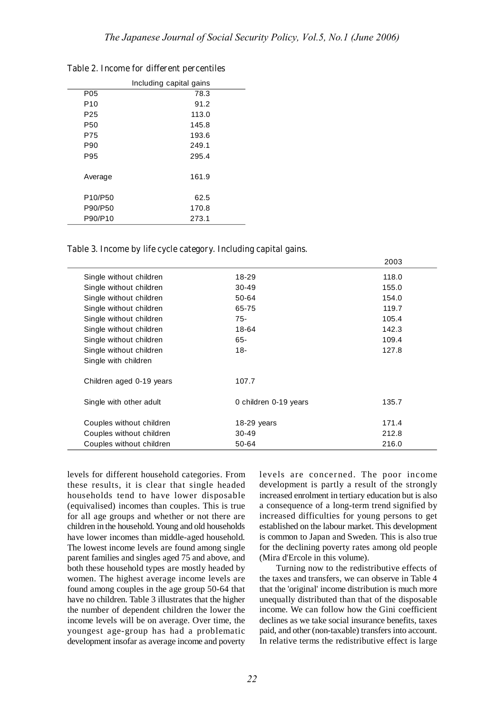| P05             | 78.3  |  |
|-----------------|-------|--|
| P <sub>10</sub> | 91.2  |  |
| P <sub>25</sub> | 113.0 |  |
| P <sub>50</sub> | 145.8 |  |
| P75             | 193.6 |  |
| P90             | 249.1 |  |
| P95             | 295.4 |  |
| Average         | 161.9 |  |
| P10/P50         | 62.5  |  |
| P90/P50         | 170.8 |  |
| P90/P10         | 273.1 |  |
|                 |       |  |

**Table 2. Income for different percentiles**

**Table 3. Income by life cycle category. Including capital gains.**

|                          |                       | zuus  |
|--------------------------|-----------------------|-------|
| Single without children  | 18-29                 | 118.0 |
| Single without children  | $30-49$               | 155.0 |
| Single without children  | 50-64                 | 154.0 |
| Single without children  | 65-75                 | 119.7 |
| Single without children  | $75-$                 | 105.4 |
| Single without children  | 18-64                 | 142.3 |
| Single without children  | 65-                   | 109.4 |
| Single without children  | $18 -$                | 127.8 |
| Single with children     |                       |       |
|                          |                       |       |
| Children aged 0-19 years | 107.7                 |       |
|                          |                       |       |
| Single with other adult  | 0 children 0-19 years | 135.7 |
|                          |                       |       |
| Couples without children | 18-29 years           | 171.4 |
| Couples without children | $30-49$               | 212.8 |
| Couples without children | 50-64                 | 216.0 |
|                          |                       |       |

levels for different household categories. From these results, it is clear that single headed households tend to have lower disposable (equivalised) incomes than couples. This is true for all age groups and whether or not there are children in the household.Young and old households have lower incomes than middle-aged household. The lowest income levels are found among single parent families and singles aged 75 and above, and both these household types are mostly headed by women. The highest average income levels are found among couples in the age group 50-64 that have no children. Table 3 illustrates that the higher the number of dependent children the lower the income levels will be on average. Over time, the youngest age-group has had a problematic development insofar as average income and poverty

levels are concerned. The poor income development is partly a result of the strongly increased enrolment in tertiary education but is also a consequence of a long-term trend signified by increased difficulties for young persons to get established on the labour market. This development is common to Japan and Sweden. This is also true for the declining poverty rates among old people (Mira d'Ercole in this volume).

 $0000$ 

Turning now to the redistributive effects of the taxes and transfers, we can observe in Table 4 that the 'original' income distribution is much more unequally distributed than that of the disposable income. We can follow how the Gini coefficient declines as we take social insurance benefits, taxes paid, and other (non-taxable) transfers into account. In relative terms the redistributive effect is large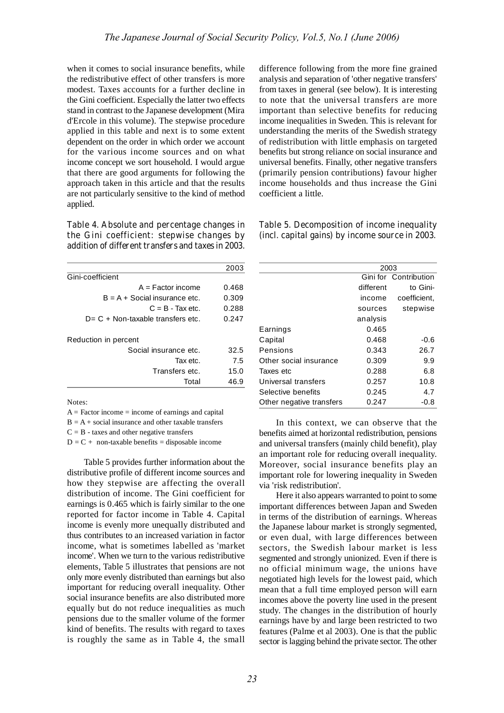when it comes to social insurance benefits, while the redistributive effect of other transfers is more modest. Taxes accounts for a further decline in the Gini coefficient. Especially the latter two effects stand in contrast to the Japanese development (Mira d'Ercole in this volume). The stepwise procedure applied in this table and next is to some extent dependent on the order in which order we account for the various income sources and on what income concept we sort household. I would argue that there are good arguments for following the approach taken in this article and that the results are not particularly sensitive to the kind of method applied.

**Table 4. Absolute and percentage changes in the Gini coefficient: stepwise changes by addition of different transfers and taxes in 2003.**

|                                      | 2003  |
|--------------------------------------|-------|
| Gini-coefficient                     |       |
| $A = Factor$ income                  | 0.468 |
| $B = A + Social insurance etc.$      | 0.309 |
| $C = B - Tax etc.$                   | 0.288 |
| $D = C + Non-taxable transfers etc.$ | 0.247 |
| Reduction in percent                 |       |
| Social insurance etc.                | 32.5  |
| Tax etc.                             | 7.5   |
| Transfers etc.                       | 15.0  |
| Total                                | 46.9  |

Notes:

 $A = Factor income = income of earnings and capital$ 

 $B = A + social$  insurance and other taxable transfers

 $C = B$  - taxes and other negative transfers

 $D = C +$  non-taxable benefits = disposable income

Table 5 provides further information about the distributive profile of different income sources and how they stepwise are affecting the overall distribution of income. The Gini coefficient for earnings is 0.465 which is fairly similar to the one reported for factor income in Table 4. Capital income is evenly more unequally distributed and thus contributes to an increased variation in factor income, what is sometimes labelled as 'market income'. When we turn to the various redistributive elements, Table 5 illustrates that pensions are not only more evenly distributed than earnings but also important for reducing overall inequality. Other social insurance benefits are also distributed more equally but do not reduce inequalities as much pensions due to the smaller volume of the former kind of benefits. The results with regard to taxes is roughly the same as in Table 4, the small difference following from the more fine grained analysis and separation of 'other negative transfers' from taxes in general (see below). It is interesting to note that the universal transfers are more important than selective benefits for reducing income inequalities in Sweden. This is relevant for understanding the merits of the Swedish strategy of redistribution with little emphasis on targeted benefits but strong reliance on social insurance and universal benefits. Finally, other negative transfers (primarily pension contributions) favour higher income households and thus increase the Gini coefficient a little.

| Table 5. Decomposition of income inequality     |  |
|-------------------------------------------------|--|
| (incl. capital gains) by income source in 2003. |  |

|                          | 2003      |                       |  |
|--------------------------|-----------|-----------------------|--|
|                          |           | Gini for Contribution |  |
|                          | different | to Gini-              |  |
|                          | income    | coefficient,          |  |
|                          | sources   | stepwise              |  |
|                          | analysis  |                       |  |
| Earnings                 | 0.465     |                       |  |
| Capital                  | 0.468     | -0.6                  |  |
| Pensions                 | 0.343     | 26.7                  |  |
| Other social insurance   | 0.309     | 9.9                   |  |
| Taxes etc                | 0.288     | 6.8                   |  |
| Universal transfers      | 0.257     | 10.8                  |  |
| Selective benefits       | 0.245     | 4.7                   |  |
| Other negative transfers | 0.247     | -0.8                  |  |

In this context, we can observe that the benefits aimed at horizontal redistribution, pensions and universal transfers (mainly child benefit), play an important role for reducing overall inequality. Moreover, social insurance benefits play an important role for lowering inequality in Sweden via 'risk redistribution'.

Here it also appears warranted to point to some important differences between Japan and Sweden in terms of the distribution of earnings. Whereas the Japanese labour market is strongly segmented, or even dual, with large differences between sectors, the Swedish labour market is less segmented and strongly unionized. Even if there is no official minimum wage, the unions have negotiated high levels for the lowest paid, which mean that a full time employed person will earn incomes above the poverty line used in the present study. The changes in the distribution of hourly earnings have by and large been restricted to two features (Palme et al 2003). One is that the public sector is lagging behind the private sector. The other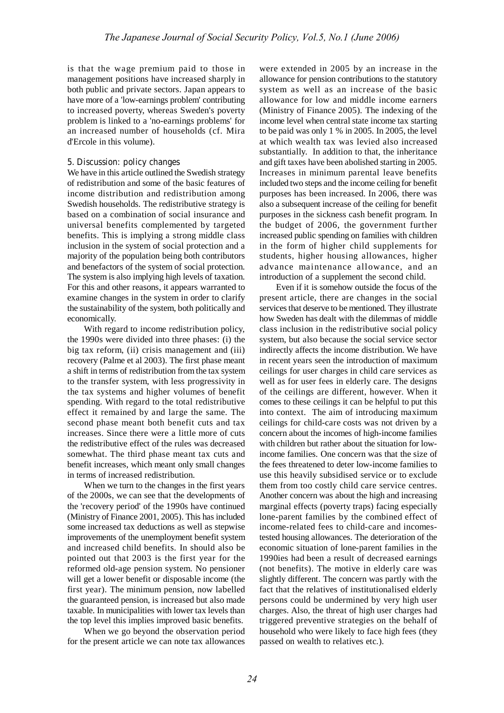is that the wage premium paid to those in management positions have increased sharply in both public and private sectors. Japan appears to have more of a 'low-earnings problem' contributing to increased poverty, whereas Sweden's poverty problem is linked to a 'no-earnings problems' for an increased number of households (cf. Mira d'Ercole in this volume).

### **5. Discussion: policy changes**

We have in this article outlined the Swedish strategy of redistribution and some of the basic features of income distribution and redistribution among Swedish households. The redistributive strategy is based on a combination of social insurance and universal benefits complemented by targeted benefits. This is implying a strong middle class inclusion in the system of social protection and a majority of the population being both contributors and benefactors of the system of social protection. The system is also implying high levels of taxation. For this and other reasons, it appears warranted to examine changes in the system in order to clarify the sustainability of the system, both politically and economically.

With regard to income redistribution policy, the 1990s were divided into three phases: (i) the big tax reform, (ii) crisis management and (iii) recovery (Palme et al 2003). The first phase meant a shift in terms of redistribution fromthe tax system to the transfer system, with less progressivity in the tax systems and higher volumes of benefit spending. With regard to the total redistributive effect it remained by and large the same. The second phase meant both benefit cuts and tax increases. Since there were a little more of cuts the redistributive effect of the rules was decreased somewhat. The third phase meant tax cuts and benefit increases, which meant only small changes in terms of increased redistribution.

When we turn to the changes in the first years of the 2000s, we can see that the developments of the 'recovery period' of the 1990s have continued (Ministry of Finance 2001, 2005). This has included some increased tax deductions as well as stepwise improvements of the unemployment benefit system and increased child benefits. In should also be pointed out that 2003 is the first year for the reformed old-age pension system. No pensioner will get a lower benefit or disposable income (the first year). The minimum pension, now labelled the guaranteed pension, is increased but also made taxable. In municipalities with lower tax levels than the top level this implies improved basic benefits.

When we go beyond the observation period for the present article we can note tax allowances were extended in 2005 by an increase in the allowance for pension contributions to the statutory system as well as an increase of the basic allowance for low and middle income earners (Ministry of Finance 2005). The indexing of the income level when central state income tax starting to be paid was only 1 % in 2005. In 2005, the level at which wealth tax was levied also increased substantially. In addition to that, the inheritance and gift taxes have been abolished starting in 2005. Increases in minimum parental leave benefits included two steps and the income ceiling for benefit purposes has been increased. In 2006, there was also a subsequent increase of the ceiling for benefit purposes in the sickness cash benefit program. In the budget of 2006, the government further increased public spending on families with children in the form of higher child supplements for students, higher housing allowances, higher advance maintenance allowance, and an introduction of a supplement the second child.

Even if it is somehow outside the focus of the present article, there are changes in the social services that deserve to be mentioned. They illustrate how Sweden has dealt with the dilemmas of middle class inclusion in the redistributive social policy system, but also because the social service sector indirectly affects the income distribution. We have in recent years seen the introduction of maximum ceilings for user charges in child care services as well as for user fees in elderly care. The designs of the ceilings are different, however. When it comes to these ceilings it can be helpful to put this into context. The aim of introducing maximum ceilings for child-care costs was not driven by a concern about the incomes of high-income families with children but rather about the situation for lowincome families. One concern was that the size of the fees threatened to deter low-income families to use this heavily subsidised service or to exclude them from too costly child care service centres. Another concern was about the high and increasing marginal effects (poverty traps) facing especially lone-parent families by the combined effect of income-related fees to child-care and incomestested housing allowances. The deterioration of the economic situation of lone-parent families in the 1990ies had been a result of decreased earnings (not benefits). The motive in elderly care was slightly different. The concern was partly with the fact that the relatives of institutionalised elderly persons could be undermined by very high user charges. Also, the threat of high user charges had triggered preventive strategies on the behalf of household who were likely to face high fees (they passed on wealth to relatives etc.).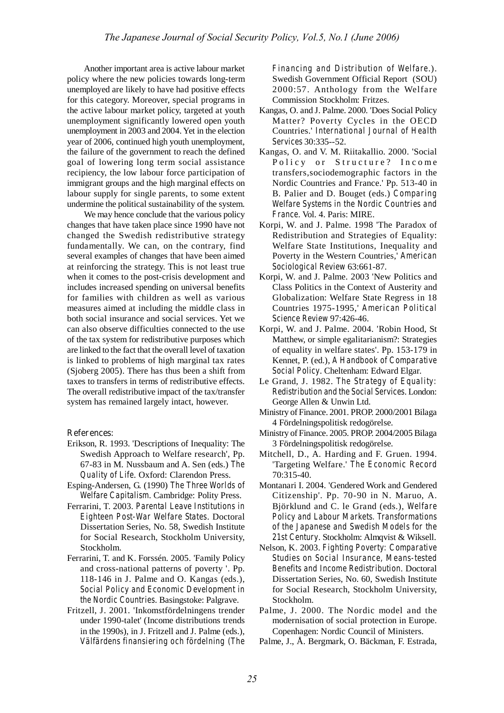Another important area is active labour market policy where the new policies towards long-term unemployed are likely to have had positive effects for this category. Moreover, special programs in the active labour market policy, targeted at youth unemployment significantly lowered open youth unemployment in 2003 and 2004. Yet in the election year of 2006, continued high youth unemployment, the failure of the government to reach the defined goal of lowering long term social assistance recipiency, the low labour force participation of immigrant groups and the high marginal effects on labour supply for single parents, to some extent undermine the political sustainability of the system.

We may hence conclude that the various policy changes that have taken place since 1990 have not changed the Swedish redistributive strategy fundamentally. We can, on the contrary, find several examples of changes that have been aimed at reinforcing the strategy. This is not least true when it comes to the post-crisis development and includes increased spending on universal benefits for families with children as well as various measures aimed at including the middle class in both social insurance and social services. Yet we can also observe difficulties connected to the use of the tax system for redistributive purposes which are linked to the fact that the overall level of taxation is linked to problems of high marginal tax rates (Sjoberg 2005). There has thus been a shift from taxes to transfers in terms of redistributive effects. The overall redistributive impact of the tax/transfer system has remained largely intact, however.

#### **References:**

- Erikson, R. 1993. 'Descriptions of Inequality: The Swedish Approach to Welfare research', Pp. 67-83 in M. Nussbaum and A. Sen (eds.) *The Quality of Life*. Oxford: Clarendon Press.
- Esping-Andersen, G. (1990) *The Three Worlds of Welfare Capitalism*. Cambridge: Polity Press.
- Ferrarini, T. 2003. *Parental Leave Institutions in Eighteen Post-War Welfare States*. Doctoral Dissertation Series, No. 58, Swedish Institute for Social Research, Stockholm University, Stockholm.
- Ferrarini, T. and K. Forssén. 2005. 'Family Policy and cross-national patterns of poverty '. Pp. 118-146 in J. Palme and O. Kangas (eds.), *Social Policy and Economic Development in the Nordic Countries*. Basingstoke: Palgrave.
- Fritzell, J. 2001. 'Inkomstfördelningens trender under 1990-talet' (Income distributions trends in the 1990s), in J. Fritzell and J. Palme (eds.), *Välfärdens finansiering och fördelning (The*

*Financing and Distribution of Welfare*.). Swedish Government Official Report (SOU) 2000:57. Anthology from the Welfare Commission Stockholm: Fritzes.

- Kangas, O. and J. Palme. 2000. 'Does Social Policy Matter? Poverty Cycles in the OECD Countries.' *International Journal of Health Services* 30:335--52.
- Kangas, O. and V. M. Riitakallio. 2000. 'Social Policy or Structure? Income transfers,sociodemographic factors in the Nordic Countries and France.' Pp. 513-40 in B. Palier and D. Bouget (eds.) *Comparing Welfare Systems in the Nordic Countries and France*. Vol. 4. Paris: MIRE.
- Korpi, W. and J. Palme. 1998 'The Paradox of Redistribution and Strategies of Equality: Welfare State Institutions, Inequality and Poverty in the Western Countries,' *American Sociological Review* 63:661-87.
- Korpi, W. and J. Palme. 2003 'New Politics and Class Politics in the Context of Austerity and Globalization: Welfare State Regress in 18 Countries 1975-1995,' *American Political Science Review* 97:426-46.
- Korpi, W. and J. Palme. 2004. 'Robin Hood, St Matthew, or simple egalitarianism?: Strategies of equality in welfare states'. Pp. 153-179 in Kennet, P. (ed.), *A Handbook of Comparative Social Policy*. Cheltenham: Edward Elgar.
- Le Grand, J. 1982. *The Strategy of Equality: Redistribution and the Social Services*. London: George Allen & Unwin Ltd.
- Ministry of Finance. 2001. PROP. 2000/2001 Bilaga 4 Fördelningspolitisk redogörelse.
- Ministry of Finance. 2005. PROP. 2004/2005 Bilaga 3 Fördelningspolitisk redogörelse.
- Mitchell, D., A. Harding and F. Gruen. 1994. 'Targeting Welfare.' *The Economic Record* 70:315-40.
- Montanari I. 2004. 'Gendered Work and Gendered Citizenship'. Pp. 70-90 in N. Maruo, A. Björklund and C. le Grand (eds.), *Welfare Policy and Labour Markets. Transformations of the Japanese and Swedish Models for the 21st Century*. Stockholm: Almqvist & Wiksell.
- Nelson, K. 2003. *Fighting Poverty: Comparative Studies on Social Insurance, Means-tested Benefits and Income Redistribution*. Doctoral Dissertation Series, No. 60, Swedish Institute for Social Research, Stockholm University, Stockholm.
- Palme, J. 2000. The Nordic model and the modernisation of social protection in Europe. Copenhagen: Nordic Council of Ministers.
- Palme, J., Å. Bergmark, O. Bäckman, F. Estrada,